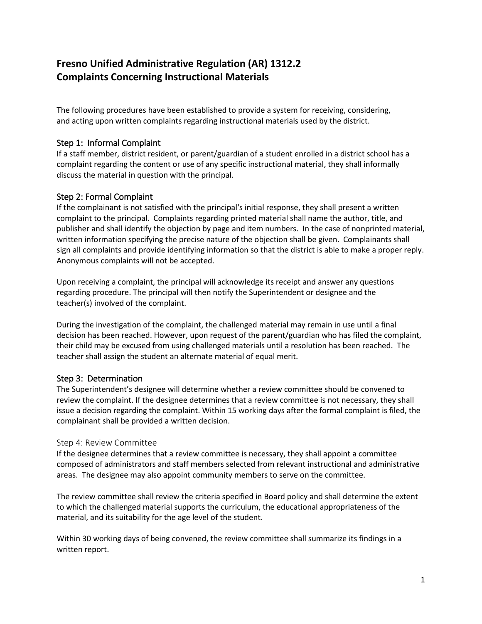# **Fresno Unified Administrative Regulation (AR) 1312.2 Complaints Concerning Instructional Materials**

The following procedures have been established to provide a system for receiving, considering, and acting upon written complaints regarding instructional materials used by the district.

# Step 1: Informal Complaint

If a staff member, district resident, or parent/guardian of a student enrolled in a district school has a complaint regarding the content or use of any specific instructional material, they shall informally discuss the material in question with the principal.

# Step 2: Formal Complaint

If the complainant is not satisfied with the principal's initial response, they shall present a written complaint to the principal. Complaints regarding printed material shall name the author, title, and publisher and shall identify the objection by page and item numbers. In the case of nonprinted material, written information specifying the precise nature of the objection shall be given. Complainants shall sign all complaints and provide identifying information so that the district is able to make a proper reply. Anonymous complaints will not be accepted.

Upon receiving a complaint, the principal will acknowledge its receipt and answer any questions regarding procedure. The principal will then notify the Superintendent or designee and the teacher(s) involved of the complaint.

During the investigation of the complaint, the challenged material may remain in use until a final decision has been reached. However, upon request of the parent/guardian who has filed the complaint, their child may be excused from using challenged materials until a resolution has been reached. The teacher shall assign the student an alternate material of equal merit.

### Step 3: Determination

The Superintendent's designee will determine whether a review committee should be convened to review the complaint. If the designee determines that a review committee is not necessary, they shall issue a decision regarding the complaint. Within 15 working days after the formal complaint is filed, the complainant shall be provided a written decision.

### Step 4: Review Committee

If the designee determines that a review committee is necessary, they shall appoint a committee composed of administrators and staff members selected from relevant instructional and administrative areas. The designee may also appoint community members to serve on the committee.

The review committee shall review the criteria specified in Board policy and shall determine the extent to which the challenged material supports the curriculum, the educational appropriateness of the material, and its suitability for the age level of the student.

Within 30 working days of being convened, the review committee shall summarize its findings in a written report.